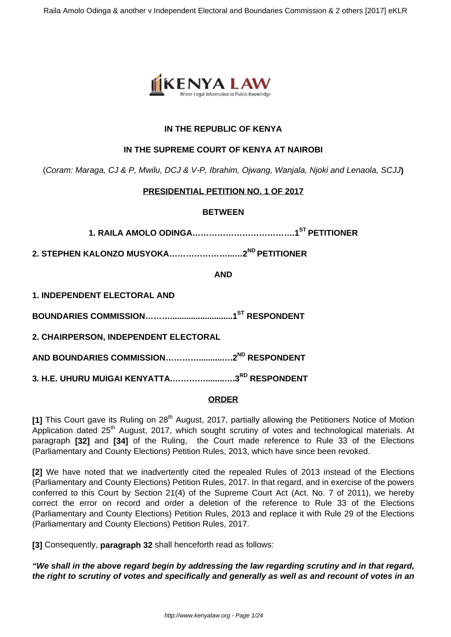

## **IN THE REPUBLIC OF KENYA**

### **IN THE SUPREME COURT OF KENYA AT NAIROBI**

(Coram: Maraga, CJ & P, Mwilu, DCJ & V-P, Ibrahim, Ojwang, Wanjala, Njoki and Lenaola, SCJJ**)**

## **PRESIDENTIAL PETITION NO. 1 OF 2017**

### **BETWEEN**

**1. RAILA AMOLO ODINGA……………………………….1ST PETITIONER**

**2. STEPHEN KALONZO MUSYOKA…………………...…2ND PETITIONER**

**AND**

**1. INDEPENDENT ELECTORAL AND**

**BOUNDARIES COMMISSION………...........................1ST RESPONDENT**

**2. CHAIRPERSON, INDEPENDENT ELECTORAL**

**AND BOUNDARIES COMMISSION…………..........….2ND RESPONDENT**

**3. H.E. UHURU MUIGAI KENYATTA.…………........….3RD RESPONDENT**

### **ORDER**

[1] This Court gave its Ruling on 28<sup>th</sup> August, 2017, partially allowing the Petitioners Notice of Motion Application dated 25<sup>th</sup> August, 2017, which sought scrutiny of votes and technological materials. At paragraph **[32]** and **[34]** of the Ruling, the Court made reference to Rule 33 of the Elections (Parliamentary and County Elections) Petition Rules, 2013, which have since been revoked.

**[2]** We have noted that we inadvertently cited the repealed Rules of 2013 instead of the Elections (Parliamentary and County Elections) Petition Rules, 2017. In that regard, and in exercise of the powers conferred to this Court by Section 21(4) of the Supreme Court Act (Act. No. 7 of 2011), we hereby correct the error on record and order a deletion of the reference to Rule 33 of the Elections (Parliamentary and County Elections) Petition Rules, 2013 and replace it with Rule 29 of the Elections (Parliamentary and County Elections) Petition Rules, 2017.

**[3]** Consequently, **paragraph 32** shall henceforth read as follows:

**"We shall in the above regard begin by addressing the law regarding scrutiny and in that regard, the right to scrutiny of votes and specifically and generally as well as and recount of votes in an**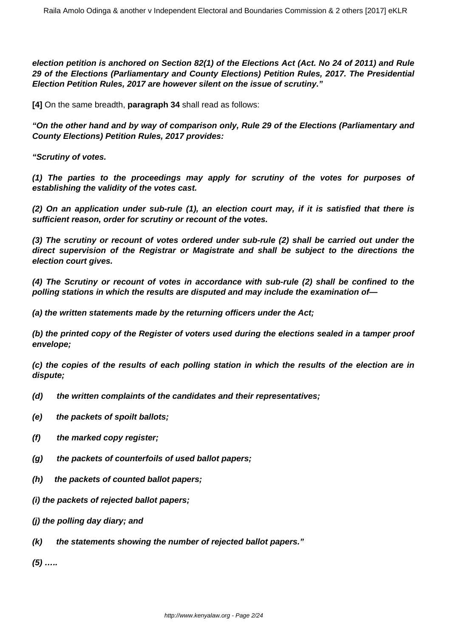**election petition is anchored on Section 82(1) of the Elections Act (Act. No 24 of 2011) and Rule 29 of the Elections (Parliamentary and County Elections) Petition Rules, 2017. The Presidential Election Petition Rules, 2017 are however silent on the issue of scrutiny."**

**[4]** On the same breadth, **paragraph 34** shall read as follows:

**"On the other hand and by way of comparison only, Rule 29 of the Elections (Parliamentary and County Elections) Petition Rules, 2017 provides:**

**"Scrutiny of votes.**

**(1) The parties to the proceedings may apply for scrutiny of the votes for purposes of establishing the validity of the votes cast.**

**(2) On an application under sub-rule (1), an election court may, if it is satisfied that there is sufficient reason, order for scrutiny or recount of the votes.**

**(3) The scrutiny or recount of votes ordered under sub-rule (2) shall be carried out under the direct supervision of the Registrar or Magistrate and shall be subject to the directions the election court gives.**

**(4) The Scrutiny or recount of votes in accordance with sub-rule (2) shall be confined to the polling stations in which the results are disputed and may include the examination of—**

**(a) the written statements made by the returning officers under the Act;** 

**(b) the printed copy of the Register of voters used during the elections sealed in a tamper proof envelope;**

**(c) the copies of the results of each polling station in which the results of the election are in dispute;**

- **(d) the written complaints of the candidates and their representatives;**
- **(e) the packets of spoilt ballots;**
- **(f) the marked copy register;**
- **(g) the packets of counterfoils of used ballot papers;**
- **(h) the packets of counted ballot papers;**
- **(i) the packets of rejected ballot papers;**
- **(j) the polling day diary; and**
- **(k) the statements showing the number of rejected ballot papers."**

**(5) …..**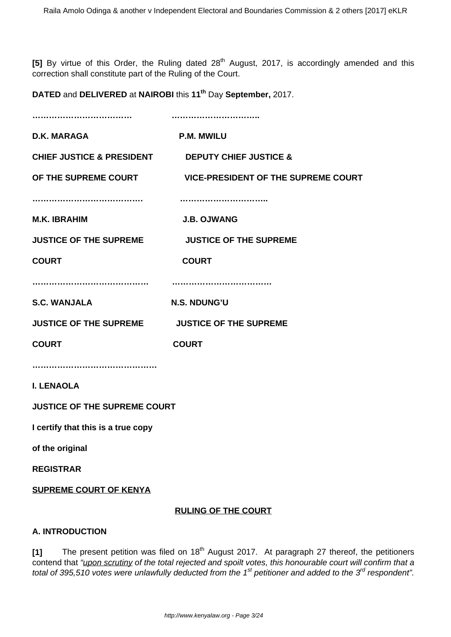[5] By virtue of this Order, the Ruling dated 28<sup>th</sup> August, 2017, is accordingly amended and this correction shall constitute part of the Ruling of the Court.

**DATED** and **DELIVERED** at **NAIROBI** this **11th** Day **September,** 2017.

| <b>D.K. MARAGA</b>                                              | <b>P.M. MWILU</b>                                        |
|-----------------------------------------------------------------|----------------------------------------------------------|
| <b>CHIEF JUSTICE &amp; PRESIDENT DEPUTY CHIEF JUSTICE &amp;</b> |                                                          |
|                                                                 | OF THE SUPREME COURT VICE-PRESIDENT OF THE SUPREME COURT |
|                                                                 |                                                          |
| <b>M.K. IBRAHIM</b>                                             | <b>J.B. OJWANG</b>                                       |
| <b>JUSTICE OF THE SUPREME</b>                                   | <b>JUSTICE OF THE SUPREME</b>                            |
| <b>COURT</b>                                                    | <b>COURT</b>                                             |
|                                                                 |                                                          |
| <b>S.C. WANJALA</b>                                             | N.S. NDUNG'U                                             |
| JUSTICE OF THE SUPREME JUSTICE OF THE SUPREME                   |                                                          |
| <b>COURT</b>                                                    | <b>COURT</b>                                             |
|                                                                 |                                                          |
| <b>I. LENAOLA</b>                                               |                                                          |
| <b>JUSTICE OF THE SUPREME COURT</b>                             |                                                          |
| I certify that this is a true copy                              |                                                          |
| of the original                                                 |                                                          |
| <b>REGISTRAR</b>                                                |                                                          |
| <b>SUPREME COURT OF KENYA</b>                                   |                                                          |

# **RULING OF THE COURT**

### **A. INTRODUCTION**

[1] The present petition was filed on 18<sup>th</sup> August 2017. At paragraph 27 thereof, the petitioners contend that "upon scrutiny of the total rejected and spoilt votes, this honourable court will confirm that a total of 395,510 votes were unlawfully deducted from the 1<sup>st</sup> petitioner and added to the 3<sup>rd</sup> respondent".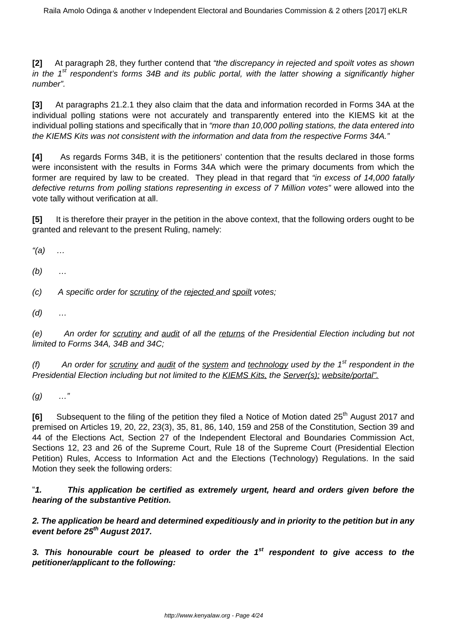**[2]** At paragraph 28, they further contend that "the discrepancy in rejected and spoilt votes as shown in the 1<sup>st</sup> respondent's forms 34B and its public portal, with the latter showing a significantly higher number".

**[3]** At paragraphs 21.2.1 they also claim that the data and information recorded in Forms 34A at the individual polling stations were not accurately and transparently entered into the KIEMS kit at the individual polling stations and specifically that in "more than 10,000 polling stations, the data entered into the KIEMS Kits was not consistent with the information and data from the respective Forms 34A."

**[4]** As regards Forms 34B, it is the petitioners' contention that the results declared in those forms were inconsistent with the results in Forms 34A which were the primary documents from which the former are required by law to be created. They plead in that regard that "in excess of 14,000 fatally defective returns from polling stations representing in excess of 7 Million votes" were allowed into the vote tally without verification at all.

**[5]** It is therefore their prayer in the petition in the above context, that the following orders ought to be granted and relevant to the present Ruling, namely:

 $"(a) \quad ...$ 

 $(b)$  ...

 $(c)$  A specific order for scrutiny of the rejected and spoilt votes;

 $(d)$  ...

(e) An order for scrutiny and audit of all the returns of the Presidential Election including but not limited to Forms 34A, 34B and 34C;

(f) An order for scrutiny and audit of the system and technology used by the  $1<sup>st</sup>$  respondent in the Presidential Election including but not limited to the KIEMS Kits, the Server(s); website/portal".

 $(g)$  …"

**[6]** Subsequent to the filing of the petition they filed a Notice of Motion dated 25<sup>th</sup> August 2017 and premised on Articles 19, 20, 22, 23(3), 35, 81, 86, 140, 159 and 258 of the Constitution, Section 39 and 44 of the Elections Act, Section 27 of the Independent Electoral and Boundaries Commission Act, Sections 12, 23 and 26 of the Supreme Court, Rule 18 of the Supreme Court (Presidential Election Petition) Rules, Access to Information Act and the Elections (Technology) Regulations. In the said Motion they seek the following orders:

"**1. This application be certified as extremely urgent, heard and orders given before the hearing of the substantive Petition.**

**2. The application be heard and determined expeditiously and in priority to the petition but in any event before 25th August 2017.**

**3. This honourable court be pleased to order the 1st respondent to give access to the petitioner/applicant to the following:**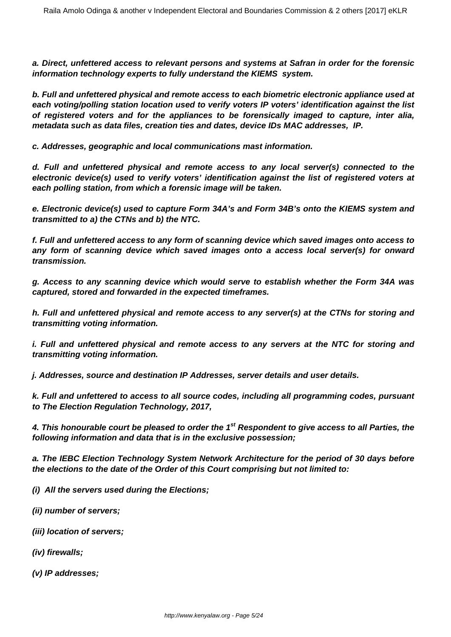**a. Direct, unfettered access to relevant persons and systems at Safran in order for the forensic information technology experts to fully understand the KIEMS system.**

**b. Full and unfettered physical and remote access to each biometric electronic appliance used at each voting/polling station location used to verify voters IP voters' identification against the list of registered voters and for the appliances to be forensically imaged to capture, inter alia, metadata such as data files, creation ties and dates, device IDs MAC addresses, IP.**

**c. Addresses, geographic and local communications mast information.**

**d. Full and unfettered physical and remote access to any local server(s) connected to the electronic device(s) used to verify voters' identification against the list of registered voters at each polling station, from which a forensic image will be taken.**

**e. Electronic device(s) used to capture Form 34A's and Form 34B's onto the KIEMS system and transmitted to a) the CTNs and b) the NTC.**

**f. Full and unfettered access to any form of scanning device which saved images onto access to any form of scanning device which saved images onto a access local server(s) for onward transmission.**

**g. Access to any scanning device which would serve to establish whether the Form 34A was captured, stored and forwarded in the expected timeframes.**

**h. Full and unfettered physical and remote access to any server(s) at the CTNs for storing and transmitting voting information.**

**i. Full and unfettered physical and remote access to any servers at the NTC for storing and transmitting voting information.** 

**j. Addresses, source and destination IP Addresses, server details and user details.**

**k. Full and unfettered to access to all source codes, including all programming codes, pursuant to The Election Regulation Technology, 2017,**

**4. This honourable court be pleased to order the 1st Respondent to give access to all Parties, the following information and data that is in the exclusive possession;**

**a. The IEBC Election Technology System Network Architecture for the period of 30 days before the elections to the date of the Order of this Court comprising but not limited to:**

**(i) All the servers used during the Elections;**

**(ii) number of servers;**

- **(iii) location of servers;**
- **(iv) firewalls;**
- **(v) IP addresses;**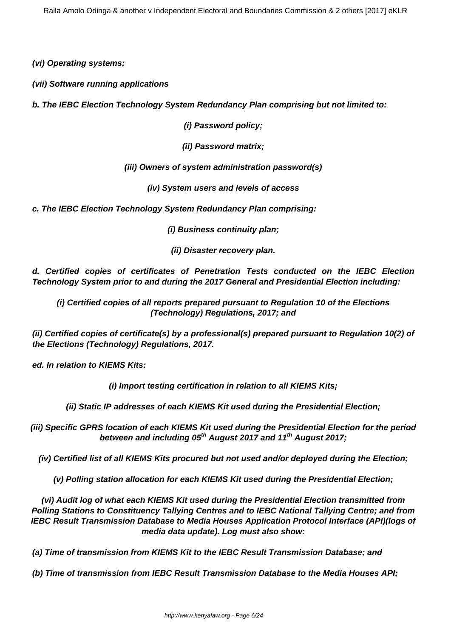**(vi) Operating systems;**

**(vii) Software running applications**

**b. The IEBC Election Technology System Redundancy Plan comprising but not limited to:**

**(i) Password policy;**

**(ii) Password matrix;**

**(iii) Owners of system administration password(s)**

**(iv) System users and levels of access**

**c. The IEBC Election Technology System Redundancy Plan comprising:**

**(i) Business continuity plan;**

**(ii) Disaster recovery plan.**

**d. Certified copies of certificates of Penetration Tests conducted on the IEBC Election Technology System prior to and during the 2017 General and Presidential Election including:**

**(i) Certified copies of all reports prepared pursuant to Regulation 10 of the Elections (Technology) Regulations, 2017; and**

**(ii) Certified copies of certificate(s) by a professional(s) prepared pursuant to Regulation 10(2) of the Elections (Technology) Regulations, 2017.**

**ed. In relation to KIEMS Kits:**

**(i) Import testing certification in relation to all KIEMS Kits;**

**(ii) Static IP addresses of each KIEMS Kit used during the Presidential Election;**

**(iii) Specific GPRS location of each KIEMS Kit used during the Presidential Election for the period between and including 05th August 2017 and 11th August 2017;**

**(iv) Certified list of all KIEMS Kits procured but not used and/or deployed during the Election;**

**(v) Polling station allocation for each KIEMS Kit used during the Presidential Election;**

**(vi) Audit log of what each KIEMS Kit used during the Presidential Election transmitted from Polling Stations to Constituency Tallying Centres and to IEBC National Tallying Centre; and from IEBC Result Transmission Database to Media Houses Application Protocol Interface (API)(logs of media data update). Log must also show:**

**(a) Time of transmission from KIEMS Kit to the IEBC Result Transmission Database; and** 

**(b) Time of transmission from IEBC Result Transmission Database to the Media Houses API;**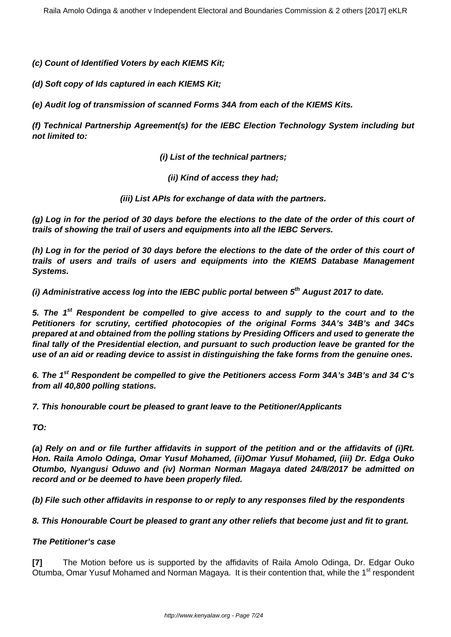**(c) Count of Identified Voters by each KIEMS Kit;**

**(d) Soft copy of Ids captured in each KIEMS Kit;**

**(e) Audit log of transmission of scanned Forms 34A from each of the KIEMS Kits.**

**(f) Technical Partnership Agreement(s) for the IEBC Election Technology System including but not limited to:**

**(i) List of the technical partners;**

**(ii) Kind of access they had;**

**(iii) List APIs for exchange of data with the partners.**

**(g) Log in for the period of 30 days before the elections to the date of the order of this court of trails of showing the trail of users and equipments into all the IEBC Servers.**

**(h) Log in for the period of 30 days before the elections to the date of the order of this court of trails of users and trails of users and equipments into the KIEMS Database Management Systems.**

**(i) Administrative access log into the IEBC public portal between 5th August 2017 to date.**

**5. The 1st Respondent be compelled to give access to and supply to the court and to the Petitioners for scrutiny, certified photocopies of the original Forms 34A's 34B's and 34Cs prepared at and obtained from the polling stations by Presiding Officers and used to generate the final tally of the Presidential election, and pursuant to such production leave be granted for the use of an aid or reading device to assist in distinguishing the fake forms from the genuine ones.**

**6. The 1st Respondent be compelled to give the Petitioners access Form 34A's 34B's and 34 C's from all 40,800 polling stations.** 

**7. This honourable court be pleased to grant leave to the Petitioner/Applicants**

**TO:**

**(a) Rely on and or file further affidavits in support of the petition and or the affidavits of (i)Rt. Hon. Raila Amolo Odinga, Omar Yusuf Mohamed, (ii)Omar Yusuf Mohamed, (iii) Dr. Edga Ouko Otumbo, Nyangusi Oduwo and (iv) Norman Norman Magaya dated 24/8/2017 be admitted on record and or be deemed to have been properly filed.**

**(b) File such other affidavits in response to or reply to any responses filed by the respondents**

**8. This Honourable Court be pleased to grant any other reliefs that become just and fit to grant.**

### **The Petitioner's case**

**[7]** The Motion before us is supported by the affidavits of Raila Amolo Odinga, Dr. Edgar Ouko Otumba, Omar Yusuf Mohamed and Norman Magaya. It is their contention that, while the 1<sup>st</sup> respondent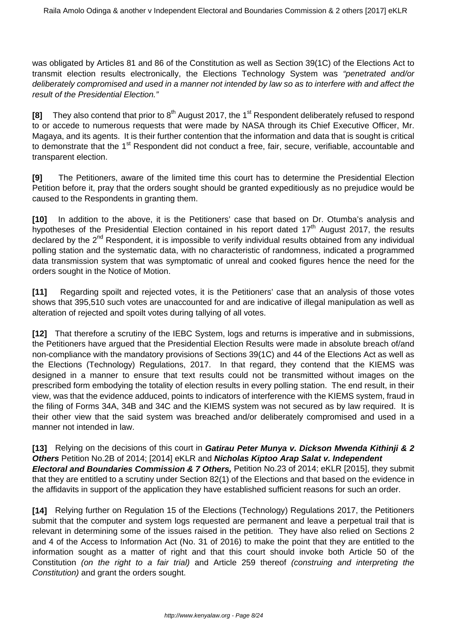was obligated by Articles 81 and 86 of the Constitution as well as Section 39(1C) of the Elections Act to transmit election results electronically, the Elections Technology System was "penetrated and/or deliberately compromised and used in a manner not intended by law so as to interfere with and affect the result of the Presidential Election."

**[8]** They also contend that prior to 8<sup>th</sup> August 2017, the 1<sup>st</sup> Respondent deliberately refused to respond to or accede to numerous requests that were made by NASA through its Chief Executive Officer, Mr. Magaya, and its agents. It is their further contention that the information and data that is sought is critical to demonstrate that the 1<sup>st</sup> Respondent did not conduct a free, fair, secure, verifiable, accountable and transparent election.

**[9]** The Petitioners, aware of the limited time this court has to determine the Presidential Election Petition before it, pray that the orders sought should be granted expeditiously as no prejudice would be caused to the Respondents in granting them.

**[10]** In addition to the above, it is the Petitioners' case that based on Dr. Otumba's analysis and hypotheses of the Presidential Election contained in his report dated  $17<sup>th</sup>$  August 2017, the results declared by the 2<sup>nd</sup> Respondent, it is impossible to verify individual results obtained from any individual polling station and the systematic data, with no characteristic of randomness, indicated a programmed data transmission system that was symptomatic of unreal and cooked figures hence the need for the orders sought in the Notice of Motion.

**[11]** Regarding spoilt and rejected votes, it is the Petitioners' case that an analysis of those votes shows that 395,510 such votes are unaccounted for and are indicative of illegal manipulation as well as alteration of rejected and spoilt votes during tallying of all votes.

**[12]** That therefore a scrutiny of the IEBC System, logs and returns is imperative and in submissions, the Petitioners have argued that the Presidential Election Results were made in absolute breach of/and non-compliance with the mandatory provisions of Sections 39(1C) and 44 of the Elections Act as well as the Elections (Technology) Regulations, 2017. In that regard, they contend that the KIEMS was designed in a manner to ensure that text results could not be transmitted without images on the prescribed form embodying the totality of election results in every polling station. The end result, in their view, was that the evidence adduced, points to indicators of interference with the KIEMS system, fraud in the filing of Forms 34A, 34B and 34C and the KIEMS system was not secured as by law required. It is their other view that the said system was breached and/or deliberately compromised and used in a manner not intended in law.

**[13]** Relying on the decisions of this court in **Gatirau Peter Munya v. Dickson Mwenda Kithinji & 2 Others** Petition No.2B of 2014; [2014] eKLR and **Nicholas Kiptoo Arap Salat v. Independent Electoral and Boundaries Commission & 7 Others,** Petition No.23 of 2014; eKLR [2015], they submit that they are entitled to a scrutiny under Section 82(1) of the Elections and that based on the evidence in the affidavits in support of the application they have established sufficient reasons for such an order.

**[14]** Relying further on Regulation 15 of the Elections (Technology) Regulations 2017, the Petitioners submit that the computer and system logs requested are permanent and leave a perpetual trail that is relevant in determining some of the issues raised in the petition. They have also relied on Sections 2 and 4 of the Access to Information Act (No. 31 of 2016) to make the point that they are entitled to the information sought as a matter of right and that this court should invoke both Article 50 of the Constitution (on the right to a fair trial) and Article 259 thereof (construing and interpreting the Constitution) and grant the orders sought.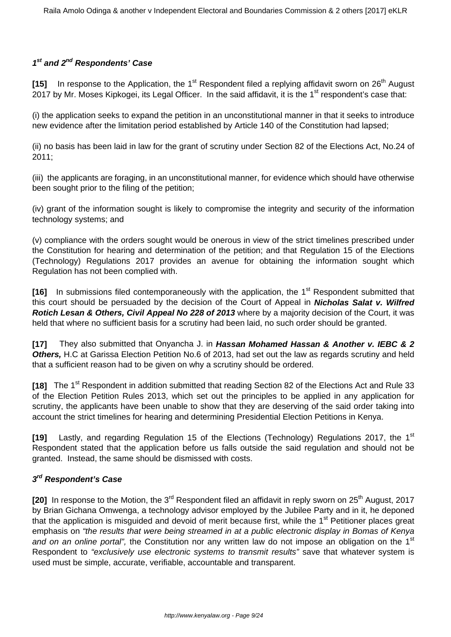# **1 st and 2nd Respondents' Case**

**[15]** In response to the Application, the 1<sup>st</sup> Respondent filed a replying affidavit sworn on 26<sup>th</sup> August 2017 by Mr. Moses Kipkogei, its Legal Officer. In the said affidavit, it is the 1<sup>st</sup> respondent's case that:

(i) the application seeks to expand the petition in an unconstitutional manner in that it seeks to introduce new evidence after the limitation period established by Article 140 of the Constitution had lapsed;

(ii) no basis has been laid in law for the grant of scrutiny under Section 82 of the Elections Act, No.24 of 2011;

(iii) the applicants are foraging, in an unconstitutional manner, for evidence which should have otherwise been sought prior to the filing of the petition;

(iv) grant of the information sought is likely to compromise the integrity and security of the information technology systems; and

(v) compliance with the orders sought would be onerous in view of the strict timelines prescribed under the Constitution for hearing and determination of the petition; and that Regulation 15 of the Elections (Technology) Regulations 2017 provides an avenue for obtaining the information sought which Regulation has not been complied with.

[16] In submissions filed contemporaneously with the application, the 1<sup>st</sup> Respondent submitted that this court should be persuaded by the decision of the Court of Appeal in **Nicholas Salat v. Wilfred Rotich Lesan & Others, Civil Appeal No 228 of 2013** where by a majority decision of the Court, it was held that where no sufficient basis for a scrutiny had been laid, no such order should be granted.

**[17]** They also submitted that Onyancha J. in **Hassan Mohamed Hassan & Another v. IEBC & 2 Others,** H.C at Garissa Election Petition No.6 of 2013, had set out the law as regards scrutiny and held that a sufficient reason had to be given on why a scrutiny should be ordered.

**[18]** The 1st Respondent in addition submitted that reading Section 82 of the Elections Act and Rule 33 of the Election Petition Rules 2013, which set out the principles to be applied in any application for scrutiny, the applicants have been unable to show that they are deserving of the said order taking into account the strict timelines for hearing and determining Presidential Election Petitions in Kenya.

**[19]** Lastly, and regarding Regulation 15 of the Elections (Technology) Regulations 2017, the 1st Respondent stated that the application before us falls outside the said regulation and should not be granted. Instead, the same should be dismissed with costs.

# **3 rd Respondent's Case**

**[20]** In response to the Motion, the 3<sup>rd</sup> Respondent filed an affidavit in reply sworn on 25<sup>th</sup> August, 2017 by Brian Gichana Omwenga, a technology advisor employed by the Jubilee Party and in it, he deponed that the application is misquided and devoid of merit because first, while the 1<sup>st</sup> Petitioner places great emphasis on "the results that were being streamed in at a public electronic display in Bomas of Kenya and on an online portal", the Constitution nor any written law do not impose an obligation on the 1<sup>st</sup> Respondent to "exclusively use electronic systems to transmit results" save that whatever system is used must be simple, accurate, verifiable, accountable and transparent.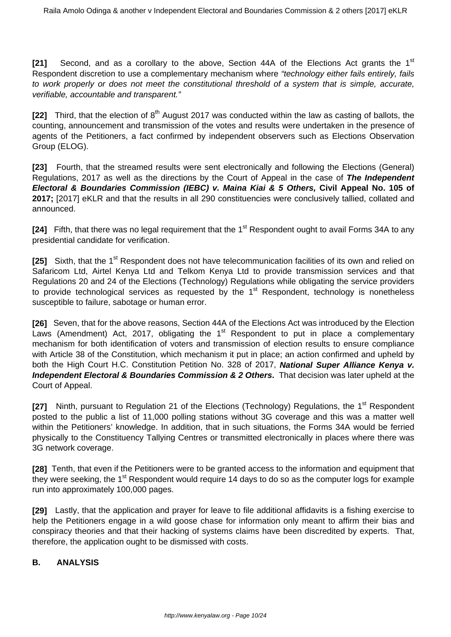**[21]** Second, and as a corollary to the above, Section 44A of the Elections Act grants the 1<sup>st</sup> Respondent discretion to use a complementary mechanism where "technology either fails entirely, fails to work properly or does not meet the constitutional threshold of a system that is simple, accurate, verifiable, accountable and transparent."

**[22]** Third, that the election of 8<sup>th</sup> August 2017 was conducted within the law as casting of ballots, the counting, announcement and transmission of the votes and results were undertaken in the presence of agents of the Petitioners, a fact confirmed by independent observers such as Elections Observation Group (ELOG).

**[23]** Fourth, that the streamed results were sent electronically and following the Elections (General) Regulations, 2017 as well as the directions by the Court of Appeal in the case of **The Independent Electoral & Boundaries Commission (IEBC) v. Maina Kiai & 5 Others, Civil Appeal No. 105 of** 2017; [2017] eKLR and that the results in all 290 constituencies were conclusively tallied, collated and announced.

**[24]** Fifth, that there was no legal requirement that the 1<sup>st</sup> Respondent ought to avail Forms 34A to any presidential candidate for verification.

**[25]** Sixth, that the 1<sup>st</sup> Respondent does not have telecommunication facilities of its own and relied on Safaricom Ltd, Airtel Kenya Ltd and Telkom Kenya Ltd to provide transmission services and that Regulations 20 and 24 of the Elections (Technology) Regulations while obligating the service providers to provide technological services as requested by the  $1<sup>st</sup>$  Respondent, technology is nonetheless susceptible to failure, sabotage or human error.

**[26]** Seven, that for the above reasons, Section 44A of the Elections Act was introduced by the Election Laws (Amendment) Act, 2017, obligating the  $1<sup>st</sup>$  Respondent to put in place a complementary mechanism for both identification of voters and transmission of election results to ensure compliance with Article 38 of the Constitution, which mechanism it put in place; an action confirmed and upheld by both the High Court H.C. Constitution Petition No. 328 of 2017, **National Super Alliance Kenya v. Independent Electoral & Boundaries Commission & 2 Others.** That decision was later upheld at the Court of Appeal.

**[27]** Ninth, pursuant to Regulation 21 of the Elections (Technology) Regulations, the 1<sup>st</sup> Respondent posted to the public a list of 11,000 polling stations without 3G coverage and this was a matter well within the Petitioners' knowledge. In addition, that in such situations, the Forms 34A would be ferried physically to the Constituency Tallying Centres or transmitted electronically in places where there was 3G network coverage.

**[28]** Tenth, that even if the Petitioners were to be granted access to the information and equipment that they were seeking, the 1<sup>st</sup> Respondent would require 14 days to do so as the computer logs for example run into approximately 100,000 pages.

**[29]** Lastly, that the application and prayer for leave to file additional affidavits is a fishing exercise to help the Petitioners engage in a wild goose chase for information only meant to affirm their bias and conspiracy theories and that their hacking of systems claims have been discredited by experts. That, therefore, the application ought to be dismissed with costs.

# **B. ANALYSIS**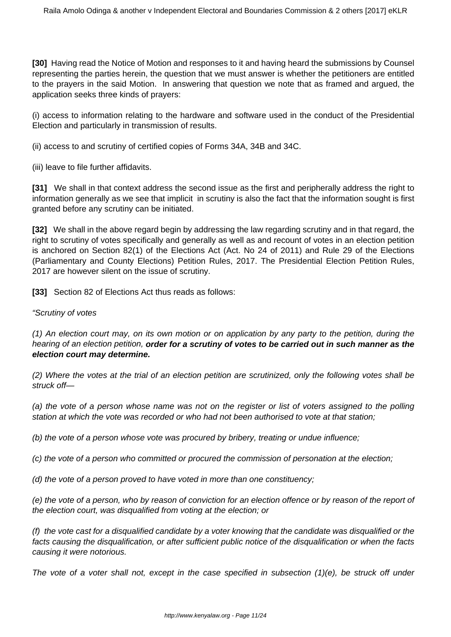**[30]** Having read the Notice of Motion and responses to it and having heard the submissions by Counsel representing the parties herein, the question that we must answer is whether the petitioners are entitled to the prayers in the said Motion. In answering that question we note that as framed and argued, the application seeks three kinds of prayers:

(i) access to information relating to the hardware and software used in the conduct of the Presidential Election and particularly in transmission of results.

(ii) access to and scrutiny of certified copies of Forms 34A, 34B and 34C.

(iii) leave to file further affidavits.

**[31]** We shall in that context address the second issue as the first and peripherally address the right to information generally as we see that implicit in scrutiny is also the fact that the information sought is first granted before any scrutiny can be initiated.

**[32]** We shall in the above regard begin by addressing the law regarding scrutiny and in that regard, the right to scrutiny of votes specifically and generally as well as and recount of votes in an election petition is anchored on Section 82(1) of the Elections Act (Act. No 24 of 2011) and Rule 29 of the Elections (Parliamentary and County Elections) Petition Rules, 2017. The Presidential Election Petition Rules, 2017 are however silent on the issue of scrutiny.

**[33]** Section 82 of Elections Act thus reads as follows:

### "Scrutiny of votes

(1) An election court may, on its own motion or on application by any party to the petition, during the hearing of an election petition, **order for a scrutiny of votes to be carried out in such manner as the election court may determine.**

(2) Where the votes at the trial of an election petition are scrutinized, only the following votes shall be struck off—

(a) the vote of a person whose name was not on the register or list of voters assigned to the polling station at which the vote was recorded or who had not been authorised to vote at that station;

(b) the vote of a person whose vote was procured by bribery, treating or undue influence;

(c) the vote of a person who committed or procured the commission of personation at the election;

(d) the vote of a person proved to have voted in more than one constituency;

(e) the vote of a person, who by reason of conviction for an election offence or by reason of the report of the election court, was disqualified from voting at the election; or

(f) the vote cast for a disqualified candidate by a voter knowing that the candidate was disqualified or the facts causing the disqualification, or after sufficient public notice of the disqualification or when the facts causing it were notorious.

The vote of a voter shall not, except in the case specified in subsection (1)(e), be struck off under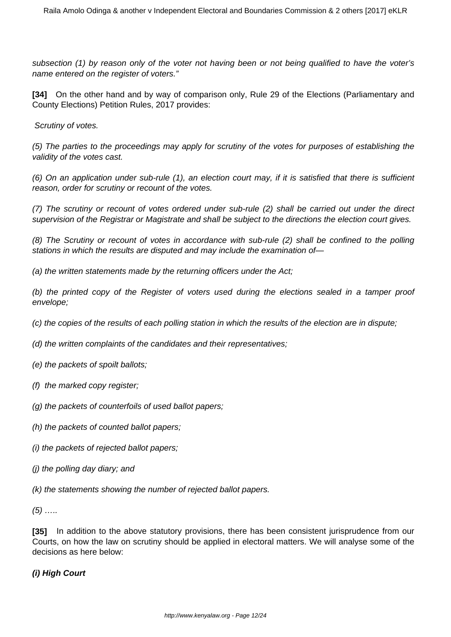subsection (1) by reason only of the voter not having been or not being qualified to have the voter's name entered on the register of voters."

**[34]** On the other hand and by way of comparison only, Rule 29 of the Elections (Parliamentary and County Elections) Petition Rules, 2017 provides:

Scrutiny of votes.

(5) The parties to the proceedings may apply for scrutiny of the votes for purposes of establishing the validity of the votes cast.

(6) On an application under sub-rule (1), an election court may, if it is satisfied that there is sufficient reason, order for scrutiny or recount of the votes.

(7) The scrutiny or recount of votes ordered under sub-rule (2) shall be carried out under the direct supervision of the Registrar or Magistrate and shall be subject to the directions the election court gives.

(8) The Scrutiny or recount of votes in accordance with sub-rule (2) shall be confined to the polling stations in which the results are disputed and may include the examination of—

(a) the written statements made by the returning officers under the Act;

(b) the printed copy of the Register of voters used during the elections sealed in a tamper proof envelope;

(c) the copies of the results of each polling station in which the results of the election are in dispute;

(d) the written complaints of the candidates and their representatives;

- (e) the packets of spoilt ballots;
- (f) the marked copy register;
- (g) the packets of counterfoils of used ballot papers;
- (h) the packets of counted ballot papers;
- (i) the packets of rejected ballot papers;
- (j) the polling day diary; and

(k) the statements showing the number of rejected ballot papers.

 $(5)$  ……

**[35]** In addition to the above statutory provisions, there has been consistent jurisprudence from our Courts, on how the law on scrutiny should be applied in electoral matters. We will analyse some of the decisions as here below:

# **(i) High Court**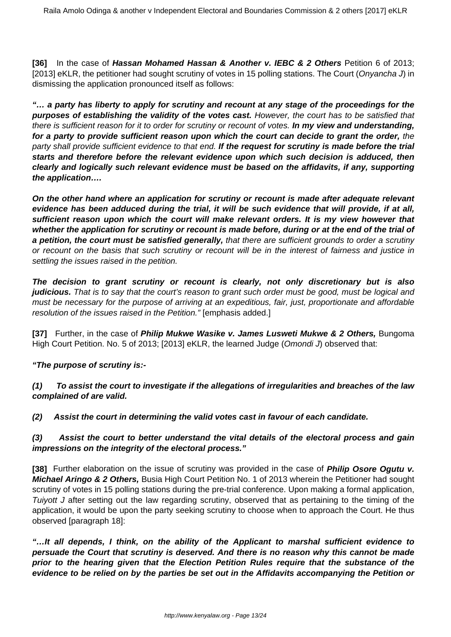**[36]** In the case of **Hassan Mohamed Hassan & Another v. IEBC & 2 Others** Petition 6 of 2013; [2013] eKLR, the petitioner had sought scrutiny of votes in 15 polling stations. The Court (Onyancha J) in dismissing the application pronounced itself as follows:

**"… a party has liberty to apply for scrutiny and recount at any stage of the proceedings for the purposes of establishing the validity of the votes cast.** However, the court has to be satisfied that there is sufficient reason for it to order for scrutiny or recount of votes. **In my view and understanding, for a party to provide sufficient reason upon which the court can decide to grant the order,** the party shall provide sufficient evidence to that end. **If the request for scrutiny is made before the trial starts and therefore before the relevant evidence upon which such decision is adduced, then clearly and logically such relevant evidence must be based on the affidavits, if any, supporting the application….**

**On the other hand where an application for scrutiny or recount is made after adequate relevant evidence has been adduced during the trial, it will be such evidence that will provide, if at all, sufficient reason upon which the court will make relevant orders. It is my view however that whether the application for scrutiny or recount is made before, during or at the end of the trial of a petition, the court must be satisfied generally,** that there are sufficient grounds to order a scrutiny or recount on the basis that such scrutiny or recount will be in the interest of fairness and justice in settling the issues raised in the petition.

**The decision to grant scrutiny or recount is clearly, not only discretionary but is also** judicious. That is to say that the court's reason to grant such order must be good, must be logical and must be necessary for the purpose of arriving at an expeditious, fair, just, proportionate and affordable resolution of the issues raised in the Petition." [emphasis added.]

**[37]** Further, in the case of **Philip Mukwe Wasike v. James Lusweti Mukwe & 2 Others,** Bungoma High Court Petition. No. 5 of 2013; [2013] eKLR, the learned Judge (Omondi J) observed that:

# **"The purpose of scrutiny is:-**

**(1) To assist the court to investigate if the allegations of irregularities and breaches of the law complained of are valid.**

**(2) Assist the court in determining the valid votes cast in favour of each candidate.**

## **(3) Assist the court to better understand the vital details of the electoral process and gain impressions on the integrity of the electoral process."**

**[38]** Further elaboration on the issue of scrutiny was provided in the case of **Philip Osore Ogutu v. Michael Aringo & 2 Others,** Busia High Court Petition No. 1 of 2013 wherein the Petitioner had sought scrutiny of votes in 15 polling stations during the pre-trial conference. Upon making a formal application, Tuiyott J after setting out the law regarding scrutiny, observed that as pertaining to the timing of the application, it would be upon the party seeking scrutiny to choose when to approach the Court. He thus observed [paragraph 18]:

**"…It all depends, I think, on the ability of the Applicant to marshal sufficient evidence to persuade the Court that scrutiny is deserved. And there is no reason why this cannot be made prior to the hearing given that the Election Petition Rules require that the substance of the evidence to be relied on by the parties be set out in the Affidavits accompanying the Petition or**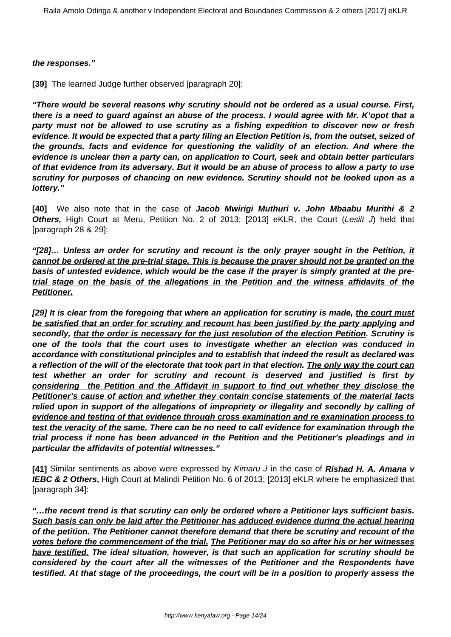#### **the responses."**

**[39]** The learned Judge further observed [paragraph 20]:

**"There would be several reasons why scrutiny should not be ordered as a usual course. First, there is a need to guard against an abuse of the process. I would agree with Mr. K'opot that a party must not be allowed to use scrutiny as a fishing expedition to discover new or fresh evidence. It would be expected that a party filing an Election Petition is, from the outset, seized of the grounds, facts and evidence for questioning the validity of an election. And where the evidence is unclear then a party can, on application to Court, seek and obtain better particulars of that evidence from its adversary. But it would be an abuse of process to allow a party to use scrutiny for purposes of chancing on new evidence. Scrutiny should not be looked upon as a lottery."**

**[40]** We also note that in the case of **Jacob Mwirigi Muthuri v. John Mbaabu Murithi & 2 Others, High Court at Meru, Petition No. 2 of 2013; [2013] eKLR, the Court (Lesiit J) held that** [paragraph 28 & 29]:

**"[28]… Unless an order for scrutiny and recount is the only prayer sought in the Petition, it cannot be ordered at the pre-trial stage. This is because the prayer should not be granted on the basis of untested evidence, which would be the case if the prayer is simply granted at the pretrial stage on the basis of the allegations in the Petition and the witness affidavits of the Petitioner.**

**[29] It is clear from the foregoing that where an application for scrutiny is made, the court must be satisfied that an order for scrutiny and recount has been justified by the party applying and secondly, that the order is necessary for the just resolution of the election Petition. Scrutiny is one of the tools that the court uses to investigate whether an election was conduced in accordance with constitutional principles and to establish that indeed the result as declared was a reflection of the will of the electorate that took part in that election. The only way the court can test whether an order for scrutiny and recount is deserved and justified is first by considering the Petition and the Affidavit in support to find out whether they disclose the Petitioner's cause of action and whether they contain concise statements of the material facts relied upon in support of the allegations of impropriety or illegality and secondly by calling of evidence and testing of that evidence through cross examination and re examination process to test the veracity of the same. There can be no need to call evidence for examination through the trial process if none has been advanced in the Petition and the Petitioner's pleadings and in particular the affidavits of potential witnesses."**

**[41]** Similar sentiments as above were expressed by Kimaru J in the case of **Rishad H. A. Amana v IEBC & 2 Others,** High Court at Malindi Petition No. 6 of 2013; [2013] eKLR where he emphasized that [paragraph 34]:

**"…the recent trend is that scrutiny can only be ordered where a Petitioner lays sufficient basis. Such basis can only be laid after the Petitioner has adduced evidence during the actual hearing of the petition. The Petitioner cannot therefore demand that there be scrutiny and recount of the votes before the commencement of the trial. The Petitioner may do so after his or her witnesses have testified. The ideal situation, however, is that such an application for scrutiny should be considered by the court after all the witnesses of the Petitioner and the Respondents have testified. At that stage of the proceedings, the court will be in a position to properly assess the**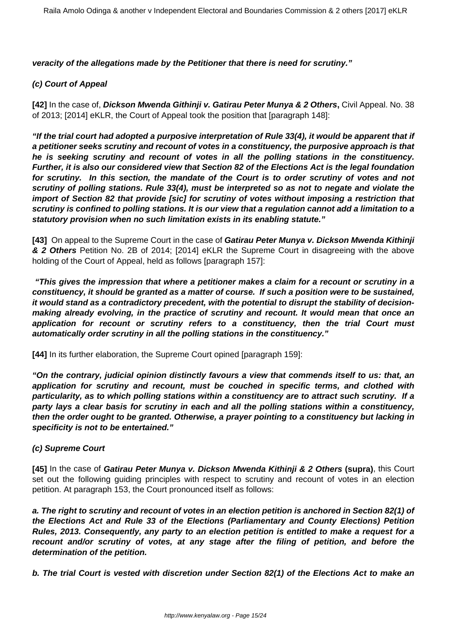**veracity of the allegations made by the Petitioner that there is need for scrutiny."**

## **(c) Court of Appeal**

**[42]** In the case of, **Dickson Mwenda Githinji v. Gatirau Peter Munya & 2 Others,** Civil Appeal. No. 38 of 2013; [2014] eKLR, the Court of Appeal took the position that [paragraph 148]:

**"If the trial court had adopted a purposive interpretation of Rule 33(4), it would be apparent that if a petitioner seeks scrutiny and recount of votes in a constituency, the purposive approach is that he is seeking scrutiny and recount of votes in all the polling stations in the constituency. Further, it is also our considered view that Section 82 of the Elections Act is the legal foundation for scrutiny. In this section, the mandate of the Court is to order scrutiny of votes and not scrutiny of polling stations. Rule 33(4), must be interpreted so as not to negate and violate the import of Section 82 that provide [sic] for scrutiny of votes without imposing a restriction that scrutiny is confined to polling stations. It is our view that a regulation cannot add a limitation to a statutory provision when no such limitation exists in its enabling statute."**

**[43]** On appeal to the Supreme Court in the case of **Gatirau Peter Munya v. Dickson Mwenda Kithinji & 2 Others** Petition No. 2B of 2014; [2014] eKLR the Supreme Court in disagreeing with the above holding of the Court of Appeal, held as follows [paragraph 157]:

**"This gives the impression that where a petitioner makes a claim for a recount or scrutiny in a constituency, it should be granted as a matter of course. If such a position were to be sustained, it would stand as a contradictory precedent, with the potential to disrupt the stability of decisionmaking already evolving, in the practice of scrutiny and recount. It would mean that once an application for recount or scrutiny refers to a constituency, then the trial Court must automatically order scrutiny in all the polling stations in the constituency."**

**[44]** In its further elaboration, the Supreme Court opined [paragraph 159]:

**"On the contrary, judicial opinion distinctly favours a view that commends itself to us: that, an application for scrutiny and recount, must be couched in specific terms, and clothed with particularity, as to which polling stations within a constituency are to attract such scrutiny. If a party lays a clear basis for scrutiny in each and all the polling stations within a constituency, then the order ought to be granted. Otherwise, a prayer pointing to a constituency but lacking in specificity is not to be entertained."** 

### **(c) Supreme Court**

**[45]** In the case of **Gatirau Peter Munya v. Dickson Mwenda Kithinji & 2 Others (supra)**, this Court set out the following guiding principles with respect to scrutiny and recount of votes in an election petition. At paragraph 153, the Court pronounced itself as follows:

**a. The right to scrutiny and recount of votes in an election petition is anchored in Section 82(1) of the Elections Act and Rule 33 of the Elections (Parliamentary and County Elections) Petition Rules, 2013. Consequently, any party to an election petition is entitled to make a request for a recount and/or scrutiny of votes, at any stage after the filing of petition, and before the determination of the petition.**

**b. The trial Court is vested with discretion under Section 82(1) of the Elections Act to make an**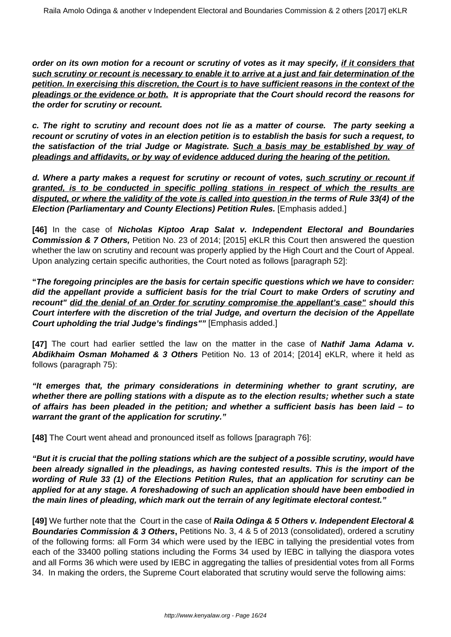**order on its own motion for a recount or scrutiny of votes as it may specify, if it considers that such scrutiny or recount is necessary to enable it to arrive at a just and fair determination of the petition. In exercising this discretion, the Court is to have sufficient reasons in the context of the pleadings or the evidence or both. It is appropriate that the Court should record the reasons for the order for scrutiny or recount.**

**c. The right to scrutiny and recount does not lie as a matter of course. The party seeking a recount or scrutiny of votes in an election petition is to establish the basis for such a request, to the satisfaction of the trial Judge or Magistrate. Such a basis may be established by way of pleadings and affidavits, or by way of evidence adduced during the hearing of the petition.**

**d. Where a party makes a request for scrutiny or recount of votes, such scrutiny or recount if granted, is to be conducted in specific polling stations in respect of which the results are disputed, or where the validity of the vote is called into question in the terms of Rule 33(4) of the Election (Parliamentary and County Elections) Petition Rules.** [Emphasis added.]

**[46]** In the case of **Nicholas Kiptoo Arap Salat v. Independent Electoral and Boundaries Commission & 7 Others,** Petition No. 23 of 2014; [2015] eKLR this Court then answered the question whether the law on scrutiny and recount was properly applied by the High Court and the Court of Appeal. Upon analyzing certain specific authorities, the Court noted as follows [paragraph 52]:

**"The foregoing principles are the basis for certain specific questions which we have to consider: did the appellant provide a sufficient basis for the trial Court to make Orders of scrutiny and recount" did the denial of an Order for scrutiny compromise the appellant's case" should this Court interfere with the discretion of the trial Judge, and overturn the decision of the Appellate Court upholding the trial Judge's findings""** [Emphasis added.]

**[47]** The court had earlier settled the law on the matter in the case of **Nathif Jama Adama v. Abdikhaim Osman Mohamed & 3 Others** Petition No. 13 of 2014; [2014] eKLR, where it held as follows (paragraph 75):

**"It emerges that, the primary considerations in determining whether to grant scrutiny, are whether there are polling stations with a dispute as to the election results; whether such a state of affairs has been pleaded in the petition; and whether a sufficient basis has been laid – to warrant the grant of the application for scrutiny."**

**[48]** The Court went ahead and pronounced itself as follows [paragraph 76]:

**"But it is crucial that the polling stations which are the subject of a possible scrutiny, would have been already signalled in the pleadings, as having contested results. This is the import of the wording of Rule 33 (1) of the Elections Petition Rules, that an application for scrutiny can be applied for at any stage. A foreshadowing of such an application should have been embodied in the main lines of pleading, which mark out the terrain of any legitimate electoral contest."**

**[49]** We further note that the Court in the case of **Raila Odinga & 5 Others v. Independent Electoral & Boundaries Commission & 3 Others, Petitions No. 3, 4 & 5 of 2013 (consolidated), ordered a scrutiny** of the following forms: all Form 34 which were used by the IEBC in tallying the presidential votes from each of the 33400 polling stations including the Forms 34 used by IEBC in tallying the diaspora votes and all Forms 36 which were used by IEBC in aggregating the tallies of presidential votes from all Forms 34. In making the orders, the Supreme Court elaborated that scrutiny would serve the following aims: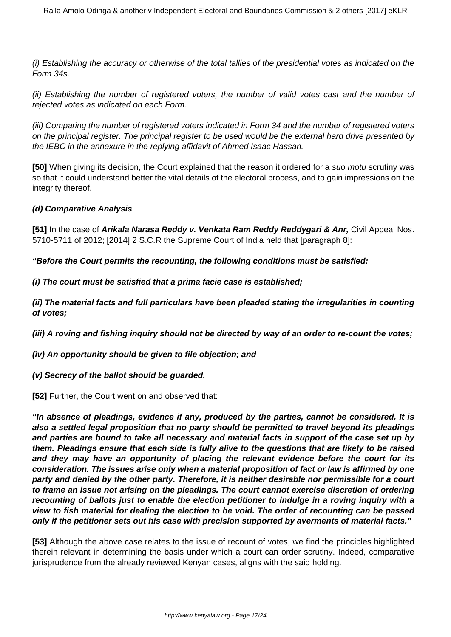(i) Establishing the accuracy or otherwise of the total tallies of the presidential votes as indicated on the Form 34s.

(ii) Establishing the number of registered voters, the number of valid votes cast and the number of rejected votes as indicated on each Form.

(iii) Comparing the number of registered voters indicated in Form 34 and the number of registered voters on the principal register. The principal register to be used would be the external hard drive presented by the IEBC in the annexure in the replying affidavit of Ahmed Isaac Hassan.

**[50]** When giving its decision, the Court explained that the reason it ordered for a suo motu scrutiny was so that it could understand better the vital details of the electoral process, and to gain impressions on the integrity thereof.

## **(d) Comparative Analysis**

**[51]** In the case of **Arikala Narasa Reddy v. Venkata Ram Reddy Reddygari & Anr,** Civil Appeal Nos. 5710-5711 of 2012; [2014] 2 S.C.R the Supreme Court of India held that [paragraph 8]:

**"Before the Court permits the recounting, the following conditions must be satisfied:**

**(i) The court must be satisfied that a prima facie case is established;**

**(ii) The material facts and full particulars have been pleaded stating the irregularities in counting of votes;**

**(iii) A roving and fishing inquiry should not be directed by way of an order to re-count the votes;**

**(iv) An opportunity should be given to file objection; and**

**(v) Secrecy of the ballot should be guarded.**

**[52]** Further, the Court went on and observed that:

**"In absence of pleadings, evidence if any, produced by the parties, cannot be considered. It is also a settled legal proposition that no party should be permitted to travel beyond its pleadings and parties are bound to take all necessary and material facts in support of the case set up by them. Pleadings ensure that each side is fully alive to the questions that are likely to be raised and they may have an opportunity of placing the relevant evidence before the court for its consideration. The issues arise only when a material proposition of fact or law is affirmed by one party and denied by the other party. Therefore, it is neither desirable nor permissible for a court to frame an issue not arising on the pleadings. The court cannot exercise discretion of ordering recounting of ballots just to enable the election petitioner to indulge in a roving inquiry with a view to fish material for dealing the election to be void. The order of recounting can be passed only if the petitioner sets out his case with precision supported by averments of material facts."**

**[53]** Although the above case relates to the issue of recount of votes, we find the principles highlighted therein relevant in determining the basis under which a court can order scrutiny. Indeed, comparative jurisprudence from the already reviewed Kenyan cases, aligns with the said holding.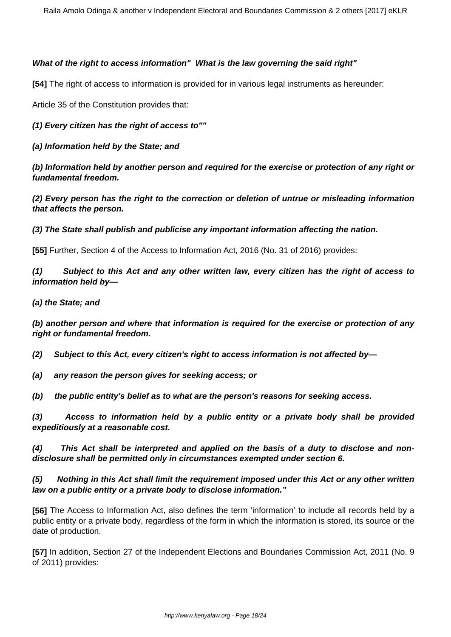## **What of the right to access information" What is the law governing the said right"**

**[54]** The right of access to information is provided for in various legal instruments as hereunder:

Article 35 of the Constitution provides that:

**(1) Every citizen has the right of access to""**

**(a) Information held by the State; and**

**(b) Information held by another person and required for the exercise or protection of any right or fundamental freedom.**

**(2) Every person has the right to the correction or deletion of untrue or misleading information that affects the person.**

**(3) The State shall publish and publicise any important information affecting the nation.**

**[55]** Further, Section 4 of the Access to Information Act, 2016 (No. 31 of 2016) provides:

**(1) Subject to this Act and any other written law, every citizen has the right of access to information held by—**

## **(a) the State; and**

**(b) another person and where that information is required for the exercise or protection of any right or fundamental freedom.**

**(2) Subject to this Act, every citizen's right to access information is not affected by—**

**(a) any reason the person gives for seeking access; or**

**(b) the public entity's belief as to what are the person's reasons for seeking access.**

**(3) Access to information held by a public entity or a private body shall be provided expeditiously at a reasonable cost.**

**(4) This Act shall be interpreted and applied on the basis of a duty to disclose and nondisclosure shall be permitted only in circumstances exempted under section 6.**

# **(5) Nothing in this Act shall limit the requirement imposed under this Act or any other written law on a public entity or a private body to disclose information."**

**[56]** The Access to Information Act, also defines the term 'information' to include all records held by a public entity or a private body, regardless of the form in which the information is stored, its source or the date of production.

**[57]** In addition, Section 27 of the Independent Elections and Boundaries Commission Act, 2011 (No. 9 of 2011) provides: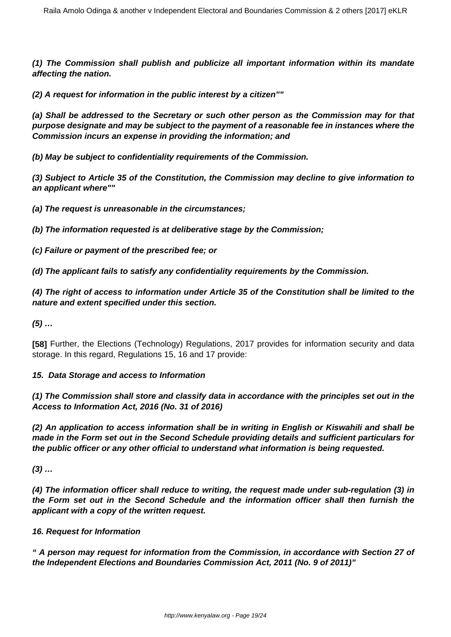**(1) The Commission shall publish and publicize all important information within its mandate affecting the nation.**

**(2) A request for information in the public interest by a citizen""**

**(a) Shall be addressed to the Secretary or such other person as the Commission may for that purpose designate and may be subject to the payment of a reasonable fee in instances where the Commission incurs an expense in providing the information; and**

**(b) May be subject to confidentiality requirements of the Commission.**

**(3) Subject to Article 35 of the Constitution, the Commission may decline to give information to an applicant where""**

**(a) The request is unreasonable in the circumstances;**

**(b) The information requested is at deliberative stage by the Commission;**

**(c) Failure or payment of the prescribed fee; or**

**(d) The applicant fails to satisfy any confidentiality requirements by the Commission.**

**(4) The right of access to information under Article 35 of the Constitution shall be limited to the nature and extent specified under this section.**

**(5) …**

**[58]** Further, the Elections (Technology) Regulations, 2017 provides for information security and data storage. In this regard, Regulations 15, 16 and 17 provide:

#### **15. Data Storage and access to Information**

**(1) The Commission shall store and classify data in accordance with the principles set out in the Access to Information Act, 2016 (No. 31 of 2016)**

**(2) An application to access information shall be in writing in English or Kiswahili and shall be made in the Form set out in the Second Schedule providing details and sufficient particulars for the public officer or any other official to understand what information is being requested.**

**(3) …**

**(4) The information officer shall reduce to writing, the request made under sub-regulation (3) in the Form set out in the Second Schedule and the information officer shall then furnish the applicant with a copy of the written request.**

### **16. Request for Information**

**" A person may request for information from the Commission, in accordance with Section 27 of the Independent Elections and Boundaries Commission Act, 2011 (No. 9 of 2011)"**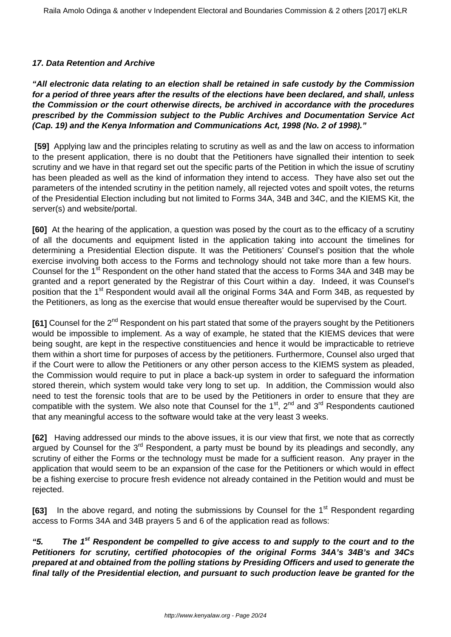## **17. Data Retention and Archive**

**"All electronic data relating to an election shall be retained in safe custody by the Commission for a period of three years after the results of the elections have been declared, and shall, unless the Commission or the court otherwise directs, be archived in accordance with the procedures prescribed by the Commission subject to the Public Archives and Documentation Service Act (Cap. 19) and the Kenya Information and Communications Act, 1998 (No. 2 of 1998)."**

**[59]** Applying law and the principles relating to scrutiny as well as and the law on access to information to the present application, there is no doubt that the Petitioners have signalled their intention to seek scrutiny and we have in that regard set out the specific parts of the Petition in which the issue of scrutiny has been pleaded as well as the kind of information they intend to access. They have also set out the parameters of the intended scrutiny in the petition namely, all rejected votes and spoilt votes, the returns of the Presidential Election including but not limited to Forms 34A, 34B and 34C, and the KIEMS Kit, the server(s) and website/portal.

**[60]** At the hearing of the application, a question was posed by the court as to the efficacy of a scrutiny of all the documents and equipment listed in the application taking into account the timelines for determining a Presidential Election dispute. It was the Petitioners' Counsel's position that the whole exercise involving both access to the Forms and technology should not take more than a few hours. Counsel for the 1<sup>st</sup> Respondent on the other hand stated that the access to Forms 34A and 34B may be granted and a report generated by the Registrar of this Court within a day. Indeed, it was Counsel's position that the 1<sup>st</sup> Respondent would avail all the original Forms 34A and Form 34B, as requested by the Petitioners, as long as the exercise that would ensue thereafter would be supervised by the Court.

**[61]** Counsel for the 2<sup>nd</sup> Respondent on his part stated that some of the prayers sought by the Petitioners would be impossible to implement. As a way of example, he stated that the KIEMS devices that were being sought, are kept in the respective constituencies and hence it would be impracticable to retrieve them within a short time for purposes of access by the petitioners. Furthermore, Counsel also urged that if the Court were to allow the Petitioners or any other person access to the KIEMS system as pleaded, the Commission would require to put in place a back-up system in order to safeguard the information stored therein, which system would take very long to set up. In addition, the Commission would also need to test the forensic tools that are to be used by the Petitioners in order to ensure that they are compatible with the system. We also note that Counsel for the  $1<sup>st</sup>$ ,  $2<sup>nd</sup>$  and  $3<sup>rd</sup>$  Respondents cautioned that any meaningful access to the software would take at the very least 3 weeks.

**[62]** Having addressed our minds to the above issues, it is our view that first, we note that as correctly argued by Counsel for the  $3<sup>rd</sup>$  Respondent, a party must be bound by its pleadings and secondly, any scrutiny of either the Forms or the technology must be made for a sufficient reason. Any prayer in the application that would seem to be an expansion of the case for the Petitioners or which would in effect be a fishing exercise to procure fresh evidence not already contained in the Petition would and must be rejected.

**[63]** In the above regard, and noting the submissions by Counsel for the 1<sup>st</sup> Respondent regarding access to Forms 34A and 34B prayers 5 and 6 of the application read as follows:

**"5. The 1st Respondent be compelled to give access to and supply to the court and to the Petitioners for scrutiny, certified photocopies of the original Forms 34A's 34B's and 34Cs prepared at and obtained from the polling stations by Presiding Officers and used to generate the final tally of the Presidential election, and pursuant to such production leave be granted for the**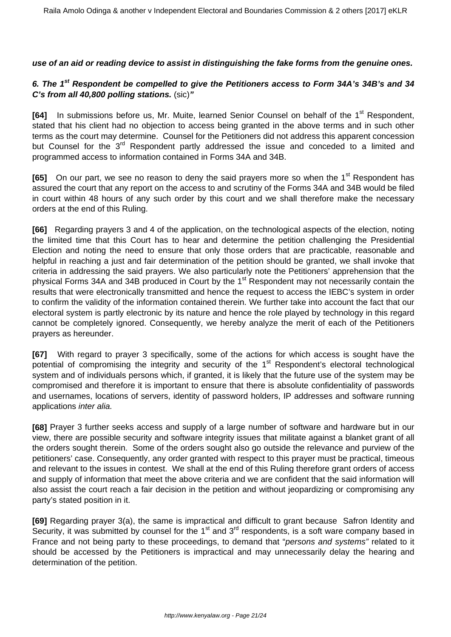**use of an aid or reading device to assist in distinguishing the fake forms from the genuine ones.**

# **6. The 1st Respondent be compelled to give the Petitioners access to Form 34A's 34B's and 34 C's from all 40,800 polling stations.** (sic)**"**

**[64]** In submissions before us, Mr. Muite, learned Senior Counsel on behalf of the 1<sup>st</sup> Respondent, stated that his client had no objection to access being granted in the above terms and in such other terms as the court may determine. Counsel for the Petitioners did not address this apparent concession but Counsel for the 3<sup>rd</sup> Respondent partly addressed the issue and conceded to a limited and programmed access to information contained in Forms 34A and 34B.

**[65]** On our part, we see no reason to deny the said prayers more so when the 1<sup>st</sup> Respondent has assured the court that any report on the access to and scrutiny of the Forms 34A and 34B would be filed in court within 48 hours of any such order by this court and we shall therefore make the necessary orders at the end of this Ruling.

**[66]** Regarding prayers 3 and 4 of the application, on the technological aspects of the election, noting the limited time that this Court has to hear and determine the petition challenging the Presidential Election and noting the need to ensure that only those orders that are practicable, reasonable and helpful in reaching a just and fair determination of the petition should be granted, we shall invoke that criteria in addressing the said prayers. We also particularly note the Petitioners' apprehension that the physical Forms 34A and 34B produced in Court by the 1<sup>st</sup> Respondent may not necessarily contain the results that were electronically transmitted and hence the request to access the IEBC's system in order to confirm the validity of the information contained therein. We further take into account the fact that our electoral system is partly electronic by its nature and hence the role played by technology in this regard cannot be completely ignored. Consequently, we hereby analyze the merit of each of the Petitioners prayers as hereunder.

**[67]** With regard to prayer 3 specifically, some of the actions for which access is sought have the potential of compromising the integrity and security of the 1<sup>st</sup> Respondent's electoral technological system and of individuals persons which, if granted, it is likely that the future use of the system may be compromised and therefore it is important to ensure that there is absolute confidentiality of passwords and usernames, locations of servers, identity of password holders, IP addresses and software running applications inter alia.

**[68]** Prayer 3 further seeks access and supply of a large number of software and hardware but in our view, there are possible security and software integrity issues that militate against a blanket grant of all the orders sought therein. Some of the orders sought also go outside the relevance and purview of the petitioners' case. Consequently, any order granted with respect to this prayer must be practical, timeous and relevant to the issues in contest. We shall at the end of this Ruling therefore grant orders of access and supply of information that meet the above criteria and we are confident that the said information will also assist the court reach a fair decision in the petition and without jeopardizing or compromising any party's stated position in it.

**[69]** Regarding prayer 3(a), the same is impractical and difficult to grant because Safron Identity and Security, it was submitted by counsel for the 1<sup>st</sup> and 3<sup>rd</sup> respondents, is a soft ware company based in France and not being party to these proceedings, to demand that "persons and systems" related to it should be accessed by the Petitioners is impractical and may unnecessarily delay the hearing and determination of the petition.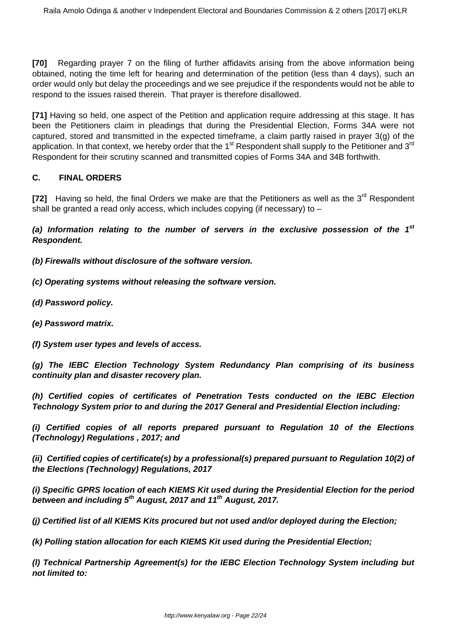**[70]** Regarding prayer 7 on the filing of further affidavits arising from the above information being obtained, noting the time left for hearing and determination of the petition (less than 4 days), such an order would only but delay the proceedings and we see prejudice if the respondents would not be able to respond to the issues raised therein. That prayer is therefore disallowed.

**[71]** Having so held, one aspect of the Petition and application require addressing at this stage. It has been the Petitioners claim in pleadings that during the Presidential Election, Forms 34A were not captured, stored and transmitted in the expected timeframe, a claim partly raised in prayer 3(g) of the application. In that context, we hereby order that the 1<sup>st</sup> Respondent shall supply to the Petitioner and 3<sup>rd</sup> Respondent for their scrutiny scanned and transmitted copies of Forms 34A and 34B forthwith.

## **C. FINAL ORDERS**

[72] Having so held, the final Orders we make are that the Petitioners as well as the 3<sup>rd</sup> Respondent shall be granted a read only access, which includes copying (if necessary) to –

**(a) Information relating to the number of servers in the exclusive possession of the 1st Respondent.**

**(b) Firewalls without disclosure of the software version.**

**(c) Operating systems without releasing the software version.**

- **(d) Password policy.**
- **(e) Password matrix.**
- **(f) System user types and levels of access.**

**(g) The IEBC Election Technology System Redundancy Plan comprising of its business continuity plan and disaster recovery plan.**

**(h) Certified copies of certificates of Penetration Tests conducted on the IEBC Election Technology System prior to and during the 2017 General and Presidential Election including:**

**(i) Certified copies of all reports prepared pursuant to Regulation 10 of the Elections (Technology) Regulations , 2017; and**

**(ii) Certified copies of certificate(s) by a professional(s) prepared pursuant to Regulation 10(2) of the Elections (Technology) Regulations, 2017**

**(i) Specific GPRS location of each KIEMS Kit used during the Presidential Election for the period between and including 5th August, 2017 and 11th August, 2017.**

**(j) Certified list of all KIEMS Kits procured but not used and/or deployed during the Election;**

**(k) Polling station allocation for each KIEMS Kit used during the Presidential Election;**

**(l) Technical Partnership Agreement(s) for the IEBC Election Technology System including but not limited to:**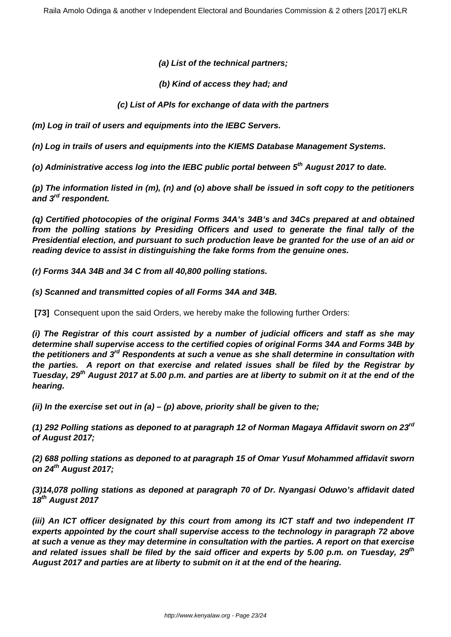**(a) List of the technical partners;**

**(b) Kind of access they had; and**

**(c) List of APIs for exchange of data with the partners**

**(m) Log in trail of users and equipments into the IEBC Servers.**

**(n) Log in trails of users and equipments into the KIEMS Database Management Systems.**

**(o) Administrative access log into the IEBC public portal between 5th August 2017 to date.**

**(p) The information listed in (m), (n) and (o) above shall be issued in soft copy to the petitioners and 3rd respondent.**

**(q) Certified photocopies of the original Forms 34A's 34B's and 34Cs prepared at and obtained from the polling stations by Presiding Officers and used to generate the final tally of the Presidential election, and pursuant to such production leave be granted for the use of an aid or reading device to assist in distinguishing the fake forms from the genuine ones.**

**(r) Forms 34A 34B and 34 C from all 40,800 polling stations.** 

**(s) Scanned and transmitted copies of all Forms 34A and 34B.**

**[73]** Consequent upon the said Orders, we hereby make the following further Orders:

**(i) The Registrar of this court assisted by a number of judicial officers and staff as she may determine shall supervise access to the certified copies of original Forms 34A and Forms 34B by the petitioners and 3rd Respondents at such a venue as she shall determine in consultation with the parties. A report on that exercise and related issues shall be filed by the Registrar by Tuesday, 29th August 2017 at 5.00 p.m. and parties are at liberty to submit on it at the end of the hearing.**

**(ii) In the exercise set out in (a) – (p) above, priority shall be given to the;** 

**(1) 292 Polling stations as deponed to at paragraph 12 of Norman Magaya Affidavit sworn on 23rd of August 2017;**

**(2) 688 polling stations as deponed to at paragraph 15 of Omar Yusuf Mohammed affidavit sworn on 24th August 2017;**

**(3)14,078 polling stations as deponed at paragraph 70 of Dr. Nyangasi Oduwo's affidavit dated 18th August 2017**

**(iii) An ICT officer designated by this court from among its ICT staff and two independent IT experts appointed by the court shall supervise access to the technology in paragraph 72 above at such a venue as they may determine in consultation with the parties. A report on that exercise and related issues shall be filed by the said officer and experts by 5.00 p.m. on Tuesday, 29th August 2017 and parties are at liberty to submit on it at the end of the hearing.**